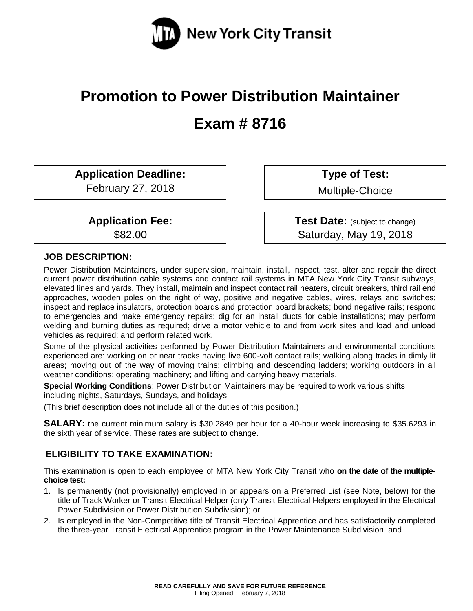

# **Promotion to Power Distribution Maintainer Exam # 8716**

**Application Deadline:**

February 27, 2018

**Application Fee:** \$82.00

**Type of Test:** 

Multiple-Choice

**Test Date:** (subject to change) Saturday, May 19, 2018

# **JOB DESCRIPTION:**

Power Distribution Maintainers**,** under supervision, maintain, install, inspect, test, alter and repair the direct current power distribution cable systems and contact rail systems in MTA New York City Transit subways, elevated lines and yards. They install, maintain and inspect contact rail heaters, circuit breakers, third rail end approaches, wooden poles on the right of way, positive and negative cables, wires, relays and switches; inspect and replace insulators, protection boards and protection board brackets; bond negative rails; respond to emergencies and make emergency repairs; dig for an install ducts for cable installations; may perform welding and burning duties as required; drive a motor vehicle to and from work sites and load and unload vehicles as required; and perform related work.

Some of the physical activities performed by Power Distribution Maintainers and environmental conditions experienced are: working on or near tracks having live 600-volt contact rails; walking along tracks in dimly lit areas; moving out of the way of moving trains; climbing and descending ladders; working outdoors in all weather conditions; operating machinery; and lifting and carrying heavy materials.

**Special Working Conditions**: Power Distribution Maintainers may be required to work various shifts including nights, Saturdays, Sundays, and holidays.

(This brief description does not include all of the duties of this position.)

**SALARY:** the current minimum salary is \$30.2849 per hour for a 40-hour week increasing to \$35.6293 in the sixth year of service. These rates are subject to change.

# **ELIGIBILITY TO TAKE EXAMINATION:**

This examination is open to each employee of MTA New York City Transit who **on the date of the multiplechoice test:**

- 1. Is permanently (not provisionally) employed in or appears on a Preferred List (see Note, below) for the title of Track Worker or Transit Electrical Helper (only Transit Electrical Helpers employed in the Electrical Power Subdivision or Power Distribution Subdivision); or
- 2. Is employed in the Non-Competitive title of Transit Electrical Apprentice and has satisfactorily completed the three-year Transit Electrical Apprentice program in the Power Maintenance Subdivision; and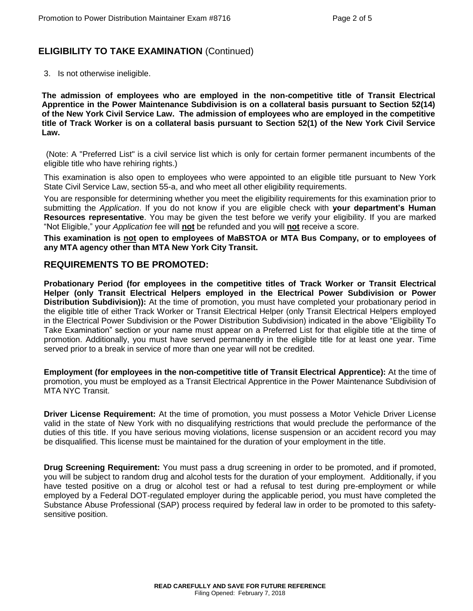# **ELIGIBILITY TO TAKE EXAMINATION** (Continued)

3. Is not otherwise ineligible.

**The admission of employees who are employed in the non-competitive title of Transit Electrical Apprentice in the Power Maintenance Subdivision is on a collateral basis pursuant to Section 52(14) of the New York Civil Service Law. The admission of employees who are employed in the competitive title of Track Worker is on a collateral basis pursuant to Section 52(1) of the New York Civil Service Law.**

(Note: A "Preferred List" is a civil service list which is only for certain former permanent incumbents of the eligible title who have rehiring rights.)

This examination is also open to employees who were appointed to an eligible title pursuant to New York State Civil Service Law, section 55-a, and who meet all other eligibility requirements.

You are responsible for determining whether you meet the eligibility requirements for this examination prior to submitting the *Application*. If you do not know if you are eligible check with **your department's Human Resources representative**. You may be given the test before we verify your eligibility. If you are marked "Not Eligible," your *Application* fee will **not** be refunded and you will **not** receive a score.

**This examination is not open to employees of MaBSTOA or MTA Bus Company, or to employees of any MTA agency other than MTA New York City Transit.**

#### **REQUIREMENTS TO BE PROMOTED:**

**Probationary Period (for employees in the competitive titles of Track Worker or Transit Electrical Helper (only Transit Electrical Helpers employed in the Electrical Power Subdivision or Power Distribution Subdivision)):** At the time of promotion, you must have completed your probationary period in the eligible title of either Track Worker or Transit Electrical Helper (only Transit Electrical Helpers employed in the Electrical Power Subdivision or the Power Distribution Subdivision) indicated in the above "Eligibility To Take Examination" section or your name must appear on a Preferred List for that eligible title at the time of promotion. Additionally, you must have served permanently in the eligible title for at least one year. Time served prior to a break in service of more than one year will not be credited.

**Employment (for employees in the non-competitive title of Transit Electrical Apprentice):** At the time of promotion, you must be employed as a Transit Electrical Apprentice in the Power Maintenance Subdivision of MTA NYC Transit.

**Driver License Requirement:** At the time of promotion, you must possess a Motor Vehicle Driver License valid in the state of New York with no disqualifying restrictions that would preclude the performance of the duties of this title. If you have serious moving violations, license suspension or an accident record you may be disqualified. This license must be maintained for the duration of your employment in the title.

**Drug Screening Requirement:** You must pass a drug screening in order to be promoted, and if promoted, you will be subject to random drug and alcohol tests for the duration of your employment. Additionally, if you have tested positive on a drug or alcohol test or had a refusal to test during pre-employment or while employed by a Federal DOT-regulated employer during the applicable period, you must have completed the Substance Abuse Professional (SAP) process required by federal law in order to be promoted to this safetysensitive position.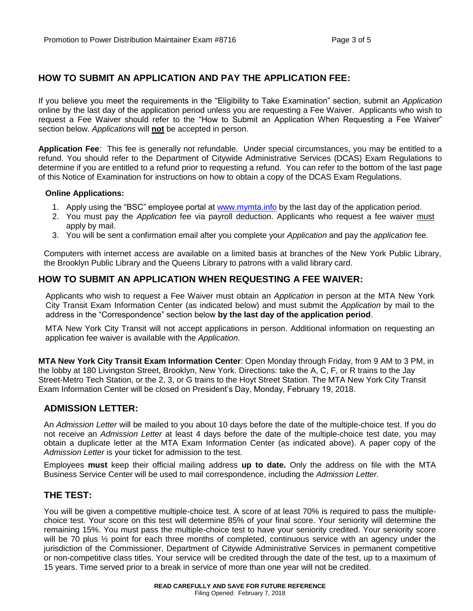# **HOW TO SUBMIT AN APPLICATION AND PAY THE APPLICATION FEE:**

If you believe you meet the requirements in the "Eligibility to Take Examination" section, submit an *Application* online by the last day of the application period unless you are requesting a Fee Waiver. Applicants who wish to request a Fee Waiver should refer to the "How to Submit an Application When Requesting a Fee Waiver" section below. *Applications* will **not** be accepted in person.

**Application Fee**: This fee is generally not refundable. Under special circumstances, you may be entitled to a refund. You should refer to the Department of Citywide Administrative Services (DCAS) Exam Regulations to determine if you are entitled to a refund prior to requesting a refund. You can refer to the bottom of the last page of this Notice of Examination for instructions on how to obtain a copy of the DCAS Exam Regulations.

#### **Online Applications:**

- 1. Apply using the "BSC" employee portal at [www.mymta.info](file:///C:/Users/U87035M/AppData/Local/Microsoft/Windows/Temporary%20Internet%20Files/AppData/Local/Microsoft/Windows/Temporary%20Internet%20Files/Content.Outlook/AppData/Local/Microsoft/Windows/mifonta/AppData/Local/Microsoft/Windows/Temporary%20Internet%20Files/Content.Outlook/6URHL170/www.mymta.info) by the last day of the application period.
- 2. You must pay the *Application* fee via payroll deduction. Applicants who request a fee waiver must apply by mail.
- 3. You will be sent a confirmation email after you complete your *Application* and pay the *application* fee.

Computers with internet access are available on a limited basis at branches of the New York Public Library, the Brooklyn Public Library and the Queens Library to patrons with a valid library card.

## **HOW TO SUBMIT AN APPLICATION WHEN REQUESTING A FEE WAIVER:**

Applicants who wish to request a Fee Waiver must obtain an *Application* in person at the MTA New York City Transit Exam Information Center (as indicated below) and must submit the *Application* by mail to the address in the "Correspondence" section below **by the last day of the application period**.

MTA New York City Transit will not accept applications in person. Additional information on requesting an application fee waiver is available with the *Application*.

**MTA New York City Transit Exam Information Center**: Open Monday through Friday, from 9 AM to 3 PM, in the lobby at 180 Livingston Street, Brooklyn, New York. Directions: take the A, C, F, or R trains to the Jay Street-Metro Tech Station, or the 2, 3, or G trains to the Hoyt Street Station. The MTA New York City Transit Exam Information Center will be closed on President's Day, Monday, February 19, 2018.

#### **ADMISSION LETTER:**

An *Admission Letter* will be mailed to you about 10 days before the date of the multiple-choice test. If you do not receive an *Admission Letter* at least 4 days before the date of the multiple-choice test date, you may obtain a duplicate letter at the MTA Exam Information Center (as indicated above). A paper copy of the *Admission Letter* is your ticket for admission to the test.

Employees **must** keep their official mailing address **up to date.** Only the address on file with the MTA Business Service Center will be used to mail correspondence, including the *Admission Letter.*

#### **THE TEST:**

You will be given a competitive multiple-choice test. A score of at least 70% is required to pass the multiplechoice test. Your score on this test will determine 85% of your final score. Your seniority will determine the remaining 15%. You must pass the multiple-choice test to have your seniority credited. Your seniority score will be 70 plus  $\frac{1}{2}$  point for each three months of completed, continuous service with an agency under the jurisdiction of the Commissioner, Department of Citywide Administrative Services in permanent competitive or non-competitive class titles. Your service will be credited through the date of the test, up to a maximum of 15 years. Time served prior to a break in service of more than one year will not be credited.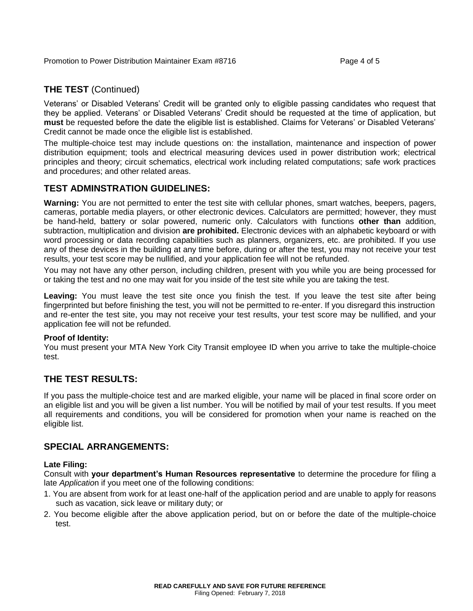## **THE TEST** (Continued)

Veterans' or Disabled Veterans' Credit will be granted only to eligible passing candidates who request that they be applied. Veterans' or Disabled Veterans' Credit should be requested at the time of application, but **must** be requested before the date the eligible list is established. Claims for Veterans' or Disabled Veterans' Credit cannot be made once the eligible list is established.

The multiple-choice test may include questions on: the installation, maintenance and inspection of power distribution equipment; tools and electrical measuring devices used in power distribution work; electrical principles and theory; circuit schematics, electrical work including related computations; safe work practices and procedures; and other related areas.

## **TEST ADMINSTRATION GUIDELINES:**

**Warning:** You are not permitted to enter the test site with cellular phones, smart watches, beepers, pagers, cameras, portable media players, or other electronic devices. Calculators are permitted; however, they must be hand-held, battery or solar powered, numeric only. Calculators with functions **other than** addition, subtraction, multiplication and division **are prohibited.** Electronic devices with an alphabetic keyboard or with word processing or data recording capabilities such as planners, organizers, etc. are prohibited. If you use any of these devices in the building at any time before, during or after the test, you may not receive your test results, your test score may be nullified, and your application fee will not be refunded.

You may not have any other person, including children, present with you while you are being processed for or taking the test and no one may wait for you inside of the test site while you are taking the test.

**Leaving:** You must leave the test site once you finish the test. If you leave the test site after being fingerprinted but before finishing the test, you will not be permitted to re-enter. If you disregard this instruction and re-enter the test site, you may not receive your test results, your test score may be nullified, and your application fee will not be refunded.

#### **Proof of Identity:**

You must present your MTA New York City Transit employee ID when you arrive to take the multiple-choice test.

## **THE TEST RESULTS:**

If you pass the multiple-choice test and are marked eligible, your name will be placed in final score order on an eligible list and you will be given a list number. You will be notified by mail of your test results. If you meet all requirements and conditions, you will be considered for promotion when your name is reached on the eligible list.

#### **SPECIAL ARRANGEMENTS:**

#### **Late Filing:**

Consult with **your department's Human Resources representative** to determine the procedure for filing a late *Applicatio*n if you meet one of the following conditions:

- 1. You are absent from work for at least one-half of the application period and are unable to apply for reasons such as vacation, sick leave or military duty; or
- 2. You become eligible after the above application period, but on or before the date of the multiple-choice test.